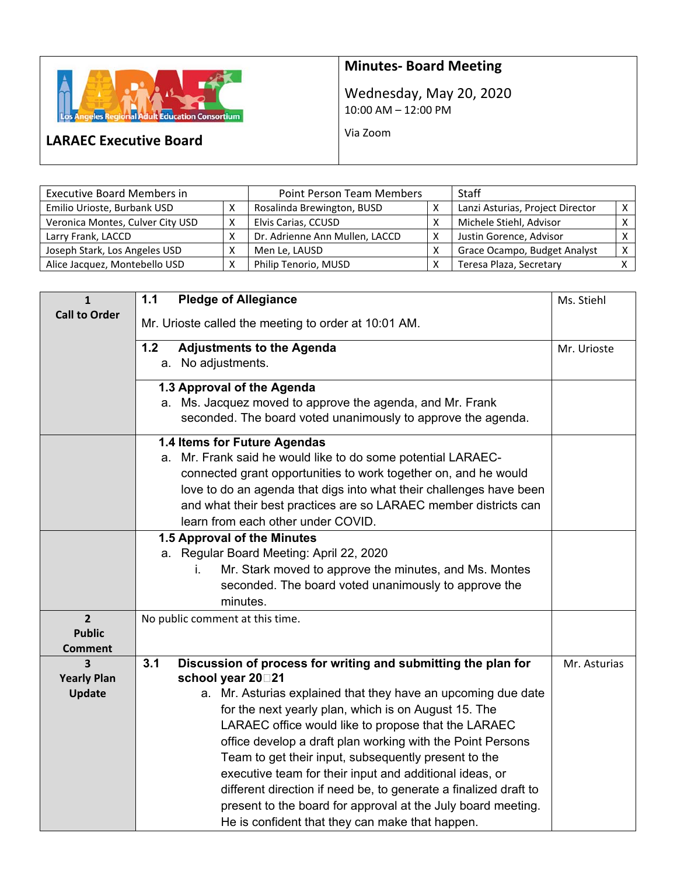

# **Minutes‐ Board Meeting**

Wednesday, May 20, 2020 10:00 AM – 12:00 PM

Via Zoom

## **LARAEC Executive Board**

| <b>Executive Board Members in</b> |   | <b>Point Person Team Members</b> |   | Staff                            |  |
|-----------------------------------|---|----------------------------------|---|----------------------------------|--|
| Emilio Urioste, Burbank USD       |   | Rosalinda Brewington, BUSD       |   | Lanzi Asturias, Project Director |  |
| Veronica Montes, Culver City USD  | х | Elvis Carias, CCUSD              | v | Michele Stiehl, Advisor          |  |
| Larry Frank, LACCD                |   | Dr. Adrienne Ann Mullen, LACCD   | х | Justin Gorence, Advisor          |  |
| Joseph Stark, Los Angeles USD     | Χ | Men Le, LAUSD                    |   | Grace Ocampo, Budget Analyst     |  |
| Alice Jacquez, Montebello USD     | X | Philip Tenorio, MUSD             |   | Teresa Plaza, Secretary          |  |

| $\mathbf{1}$            | $1.1$<br><b>Pledge of Allegiance</b>                                                                   | Ms. Stiehl   |
|-------------------------|--------------------------------------------------------------------------------------------------------|--------------|
| <b>Call to Order</b>    | Mr. Urioste called the meeting to order at 10:01 AM.                                                   |              |
|                         | 1.2<br><b>Adjustments to the Agenda</b>                                                                | Mr. Urioste  |
|                         | No adjustments.<br>а.                                                                                  |              |
|                         | 1.3 Approval of the Agenda                                                                             |              |
|                         | a. Ms. Jacquez moved to approve the agenda, and Mr. Frank                                              |              |
|                         | seconded. The board voted unanimously to approve the agenda.                                           |              |
|                         | 1.4 Items for Future Agendas                                                                           |              |
|                         | Mr. Frank said he would like to do some potential LARAEC-<br>а.                                        |              |
|                         | connected grant opportunities to work together on, and he would                                        |              |
|                         | love to do an agenda that digs into what their challenges have been                                    |              |
|                         | and what their best practices are so LARAEC member districts can                                       |              |
|                         | learn from each other under COVID.<br>1.5 Approval of the Minutes                                      |              |
|                         | a. Regular Board Meeting: April 22, 2020                                                               |              |
|                         | Mr. Stark moved to approve the minutes, and Ms. Montes<br>i.                                           |              |
|                         | seconded. The board voted unanimously to approve the                                                   |              |
|                         | minutes.                                                                                               |              |
| $\overline{2}$          | No public comment at this time.                                                                        |              |
| <b>Public</b>           |                                                                                                        |              |
| <b>Comment</b>          |                                                                                                        |              |
| 3<br><b>Yearly Plan</b> | 3.1<br>Discussion of process for writing and submitting the plan for<br>school year 20 <sup>1</sup> 21 | Mr. Asturias |
| <b>Update</b>           | a. Mr. Asturias explained that they have an upcoming due date                                          |              |
|                         | for the next yearly plan, which is on August 15. The                                                   |              |
|                         | LARAEC office would like to propose that the LARAEC                                                    |              |
|                         | office develop a draft plan working with the Point Persons                                             |              |
|                         | Team to get their input, subsequently present to the                                                   |              |
|                         | executive team for their input and additional ideas, or                                                |              |
|                         | different direction if need be, to generate a finalized draft to                                       |              |
|                         | present to the board for approval at the July board meeting.                                           |              |
|                         | He is confident that they can make that happen.                                                        |              |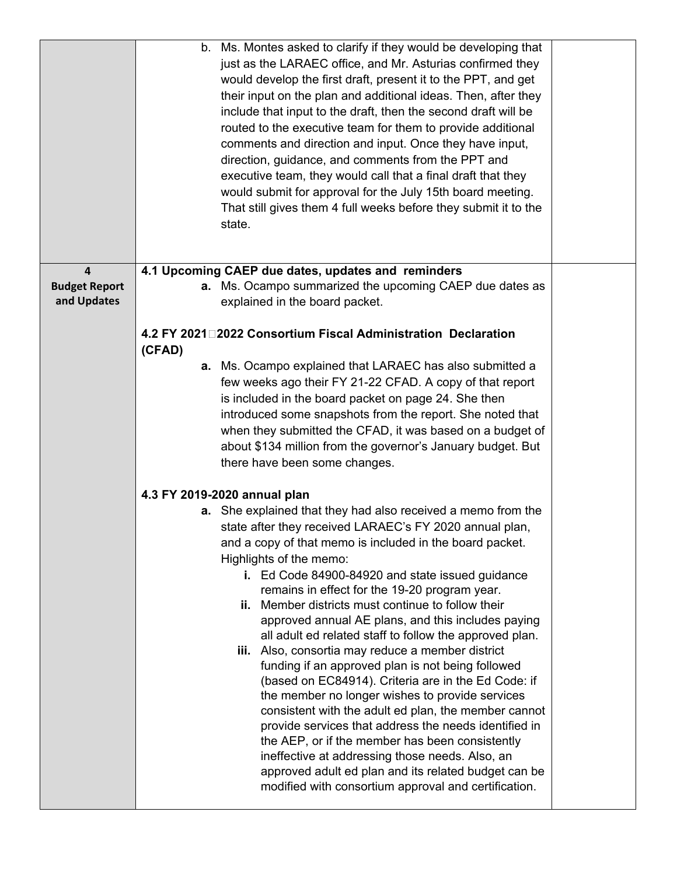|                      | b. Ms. Montes asked to clarify if they would be developing that<br>just as the LARAEC office, and Mr. Asturias confirmed they<br>would develop the first draft, present it to the PPT, and get<br>their input on the plan and additional ideas. Then, after they<br>include that input to the draft, then the second draft will be<br>routed to the executive team for them to provide additional<br>comments and direction and input. Once they have input,<br>direction, guidance, and comments from the PPT and<br>executive team, they would call that a final draft that they<br>would submit for approval for the July 15th board meeting.<br>That still gives them 4 full weeks before they submit it to the<br>state. |  |
|----------------------|-------------------------------------------------------------------------------------------------------------------------------------------------------------------------------------------------------------------------------------------------------------------------------------------------------------------------------------------------------------------------------------------------------------------------------------------------------------------------------------------------------------------------------------------------------------------------------------------------------------------------------------------------------------------------------------------------------------------------------|--|
| $\overline{4}$       | 4.1 Upcoming CAEP due dates, updates and reminders                                                                                                                                                                                                                                                                                                                                                                                                                                                                                                                                                                                                                                                                            |  |
| <b>Budget Report</b> | a. Ms. Ocampo summarized the upcoming CAEP due dates as                                                                                                                                                                                                                                                                                                                                                                                                                                                                                                                                                                                                                                                                       |  |
| and Updates          | explained in the board packet.                                                                                                                                                                                                                                                                                                                                                                                                                                                                                                                                                                                                                                                                                                |  |
|                      | 4.2 FY 2021 2022 Consortium Fiscal Administration Declaration<br>(CFAD)                                                                                                                                                                                                                                                                                                                                                                                                                                                                                                                                                                                                                                                       |  |
|                      | a. Ms. Ocampo explained that LARAEC has also submitted a                                                                                                                                                                                                                                                                                                                                                                                                                                                                                                                                                                                                                                                                      |  |
|                      | few weeks ago their FY 21-22 CFAD. A copy of that report                                                                                                                                                                                                                                                                                                                                                                                                                                                                                                                                                                                                                                                                      |  |
|                      | is included in the board packet on page 24. She then                                                                                                                                                                                                                                                                                                                                                                                                                                                                                                                                                                                                                                                                          |  |
|                      | introduced some snapshots from the report. She noted that                                                                                                                                                                                                                                                                                                                                                                                                                                                                                                                                                                                                                                                                     |  |
|                      | when they submitted the CFAD, it was based on a budget of                                                                                                                                                                                                                                                                                                                                                                                                                                                                                                                                                                                                                                                                     |  |
|                      | about \$134 million from the governor's January budget. But                                                                                                                                                                                                                                                                                                                                                                                                                                                                                                                                                                                                                                                                   |  |
|                      | there have been some changes.                                                                                                                                                                                                                                                                                                                                                                                                                                                                                                                                                                                                                                                                                                 |  |
|                      | 4.3 FY 2019-2020 annual plan                                                                                                                                                                                                                                                                                                                                                                                                                                                                                                                                                                                                                                                                                                  |  |
|                      | a. She explained that they had also received a memo from the                                                                                                                                                                                                                                                                                                                                                                                                                                                                                                                                                                                                                                                                  |  |
|                      | state after they received LARAEC's FY 2020 annual plan,                                                                                                                                                                                                                                                                                                                                                                                                                                                                                                                                                                                                                                                                       |  |
|                      | and a copy of that memo is included in the board packet.                                                                                                                                                                                                                                                                                                                                                                                                                                                                                                                                                                                                                                                                      |  |
|                      | Highlights of the memo:                                                                                                                                                                                                                                                                                                                                                                                                                                                                                                                                                                                                                                                                                                       |  |
|                      | i. Ed Code 84900-84920 and state issued guidance                                                                                                                                                                                                                                                                                                                                                                                                                                                                                                                                                                                                                                                                              |  |
|                      | remains in effect for the 19-20 program year.                                                                                                                                                                                                                                                                                                                                                                                                                                                                                                                                                                                                                                                                                 |  |
|                      | ii. Member districts must continue to follow their                                                                                                                                                                                                                                                                                                                                                                                                                                                                                                                                                                                                                                                                            |  |
|                      | approved annual AE plans, and this includes paying                                                                                                                                                                                                                                                                                                                                                                                                                                                                                                                                                                                                                                                                            |  |
|                      | all adult ed related staff to follow the approved plan.<br>iii. Also, consortia may reduce a member district                                                                                                                                                                                                                                                                                                                                                                                                                                                                                                                                                                                                                  |  |
|                      | funding if an approved plan is not being followed                                                                                                                                                                                                                                                                                                                                                                                                                                                                                                                                                                                                                                                                             |  |
|                      | (based on EC84914). Criteria are in the Ed Code: if                                                                                                                                                                                                                                                                                                                                                                                                                                                                                                                                                                                                                                                                           |  |
|                      | the member no longer wishes to provide services                                                                                                                                                                                                                                                                                                                                                                                                                                                                                                                                                                                                                                                                               |  |
|                      | consistent with the adult ed plan, the member cannot                                                                                                                                                                                                                                                                                                                                                                                                                                                                                                                                                                                                                                                                          |  |
|                      | provide services that address the needs identified in                                                                                                                                                                                                                                                                                                                                                                                                                                                                                                                                                                                                                                                                         |  |
|                      | the AEP, or if the member has been consistently                                                                                                                                                                                                                                                                                                                                                                                                                                                                                                                                                                                                                                                                               |  |
|                      | ineffective at addressing those needs. Also, an                                                                                                                                                                                                                                                                                                                                                                                                                                                                                                                                                                                                                                                                               |  |
|                      | approved adult ed plan and its related budget can be<br>modified with consortium approval and certification.                                                                                                                                                                                                                                                                                                                                                                                                                                                                                                                                                                                                                  |  |
|                      |                                                                                                                                                                                                                                                                                                                                                                                                                                                                                                                                                                                                                                                                                                                               |  |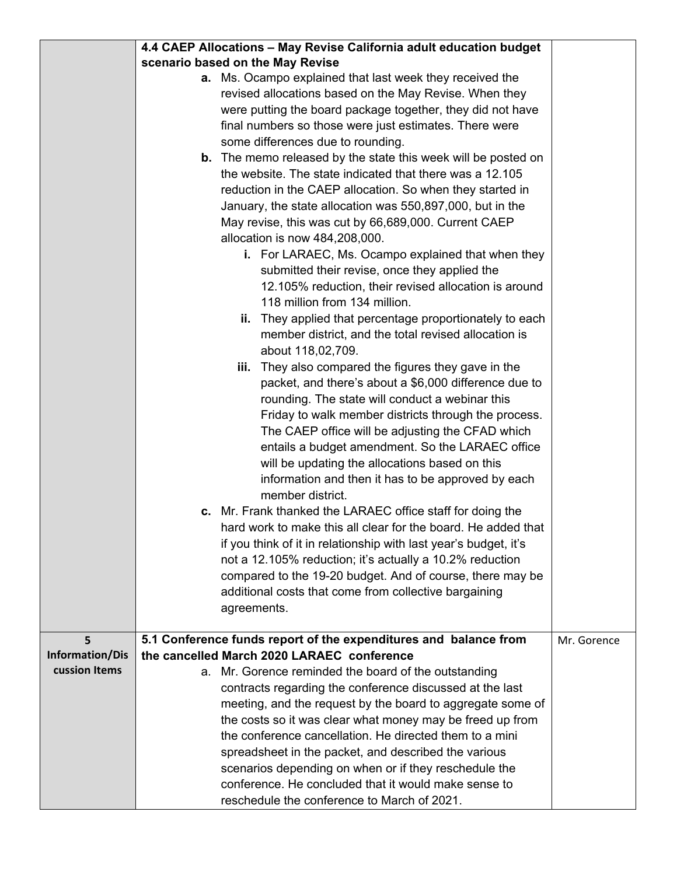|                        | 4.4 CAEP Allocations - May Revise California adult education budget    |             |
|------------------------|------------------------------------------------------------------------|-------------|
|                        | scenario based on the May Revise                                       |             |
|                        | a. Ms. Ocampo explained that last week they received the               |             |
|                        | revised allocations based on the May Revise. When they                 |             |
|                        | were putting the board package together, they did not have             |             |
|                        | final numbers so those were just estimates. There were                 |             |
|                        | some differences due to rounding.                                      |             |
|                        | <b>b.</b> The memo released by the state this week will be posted on   |             |
|                        | the website. The state indicated that there was a 12.105               |             |
|                        | reduction in the CAEP allocation. So when they started in              |             |
|                        | January, the state allocation was 550,897,000, but in the              |             |
|                        | May revise, this was cut by 66,689,000. Current CAEP                   |             |
|                        | allocation is now 484,208,000.                                         |             |
|                        | i. For LARAEC, Ms. Ocampo explained that when they                     |             |
|                        | submitted their revise, once they applied the                          |             |
|                        | 12.105% reduction, their revised allocation is around                  |             |
|                        | 118 million from 134 million.                                          |             |
|                        | ii. They applied that percentage proportionately to each               |             |
|                        | member district, and the total revised allocation is                   |             |
|                        | about 118,02,709.                                                      |             |
|                        | iii. They also compared the figures they gave in the                   |             |
|                        | packet, and there's about a \$6,000 difference due to                  |             |
|                        | rounding. The state will conduct a webinar this                        |             |
|                        | Friday to walk member districts through the process.                   |             |
|                        | The CAEP office will be adjusting the CFAD which                       |             |
|                        | entails a budget amendment. So the LARAEC office                       |             |
|                        | will be updating the allocations based on this                         |             |
|                        |                                                                        |             |
|                        | information and then it has to be approved by each<br>member district. |             |
|                        | c. Mr. Frank thanked the LARAEC office staff for doing the             |             |
|                        | hard work to make this all clear for the board. He added that          |             |
|                        | if you think of it in relationship with last year's budget, it's       |             |
|                        | not a 12.105% reduction; it's actually a 10.2% reduction               |             |
|                        |                                                                        |             |
|                        | compared to the 19-20 budget. And of course, there may be              |             |
|                        | additional costs that come from collective bargaining                  |             |
|                        | agreements.                                                            |             |
| 5                      | 5.1 Conference funds report of the expenditures and balance from       | Mr. Gorence |
| <b>Information/Dis</b> | the cancelled March 2020 LARAEC conference                             |             |
| cussion Items          | a. Mr. Gorence reminded the board of the outstanding                   |             |
|                        | contracts regarding the conference discussed at the last               |             |
|                        | meeting, and the request by the board to aggregate some of             |             |
|                        | the costs so it was clear what money may be freed up from              |             |
|                        | the conference cancellation. He directed them to a mini                |             |
|                        | spreadsheet in the packet, and described the various                   |             |
|                        | scenarios depending on when or if they reschedule the                  |             |
|                        | conference. He concluded that it would make sense to                   |             |
|                        | reschedule the conference to March of 2021.                            |             |
|                        |                                                                        |             |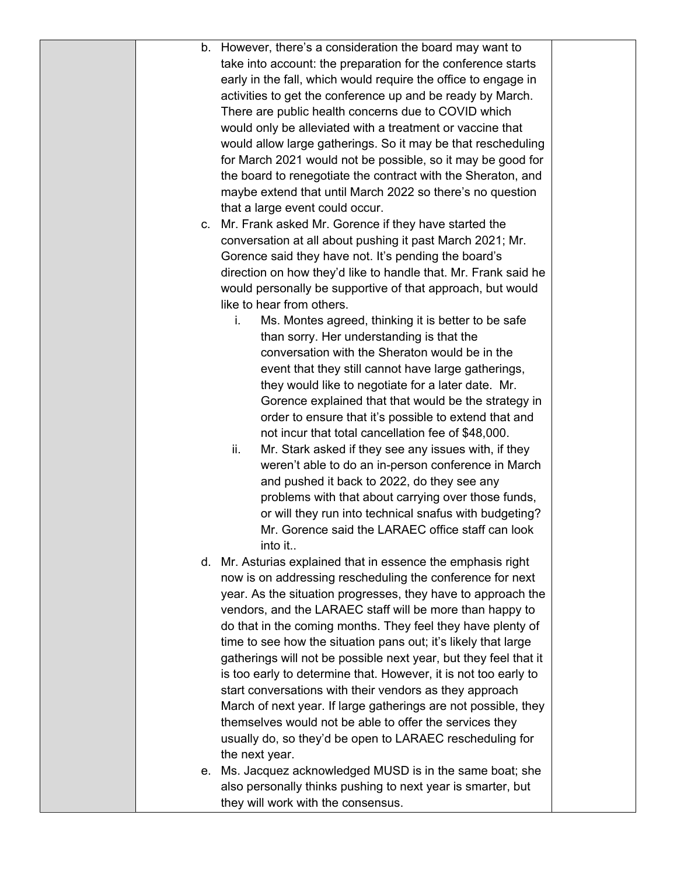|  | b. However, there's a consideration the board may want to        |  |
|--|------------------------------------------------------------------|--|
|  | take into account: the preparation for the conference starts     |  |
|  | early in the fall, which would require the office to engage in   |  |
|  | activities to get the conference up and be ready by March.       |  |
|  | There are public health concerns due to COVID which              |  |
|  | would only be alleviated with a treatment or vaccine that        |  |
|  | would allow large gatherings. So it may be that rescheduling     |  |
|  | for March 2021 would not be possible, so it may be good for      |  |
|  | the board to renegotiate the contract with the Sheraton, and     |  |
|  | maybe extend that until March 2022 so there's no question        |  |
|  |                                                                  |  |
|  | that a large event could occur.                                  |  |
|  | c. Mr. Frank asked Mr. Gorence if they have started the          |  |
|  | conversation at all about pushing it past March 2021; Mr.        |  |
|  | Gorence said they have not. It's pending the board's             |  |
|  | direction on how they'd like to handle that. Mr. Frank said he   |  |
|  | would personally be supportive of that approach, but would       |  |
|  | like to hear from others.                                        |  |
|  | Ms. Montes agreed, thinking it is better to be safe<br>i.        |  |
|  | than sorry. Her understanding is that the                        |  |
|  | conversation with the Sheraton would be in the                   |  |
|  | event that they still cannot have large gatherings,              |  |
|  | they would like to negotiate for a later date. Mr.               |  |
|  | Gorence explained that that would be the strategy in             |  |
|  | order to ensure that it's possible to extend that and            |  |
|  | not incur that total cancellation fee of \$48,000.               |  |
|  | ii.<br>Mr. Stark asked if they see any issues with, if they      |  |
|  | weren't able to do an in-person conference in March              |  |
|  | and pushed it back to 2022, do they see any                      |  |
|  | problems with that about carrying over those funds,              |  |
|  | or will they run into technical snafus with budgeting?           |  |
|  | Mr. Gorence said the LARAEC office staff can look                |  |
|  | into it                                                          |  |
|  | d. Mr. Asturias explained that in essence the emphasis right     |  |
|  | now is on addressing rescheduling the conference for next        |  |
|  | year. As the situation progresses, they have to approach the     |  |
|  | vendors, and the LARAEC staff will be more than happy to         |  |
|  | do that in the coming months. They feel they have plenty of      |  |
|  | time to see how the situation pans out; it's likely that large   |  |
|  |                                                                  |  |
|  | gatherings will not be possible next year, but they feel that it |  |
|  | is too early to determine that. However, it is not too early to  |  |
|  | start conversations with their vendors as they approach          |  |
|  | March of next year. If large gatherings are not possible, they   |  |
|  | themselves would not be able to offer the services they          |  |
|  | usually do, so they'd be open to LARAEC rescheduling for         |  |
|  | the next year.                                                   |  |
|  | e. Ms. Jacquez acknowledged MUSD is in the same boat; she        |  |
|  | also personally thinks pushing to next year is smarter, but      |  |
|  | they will work with the consensus.                               |  |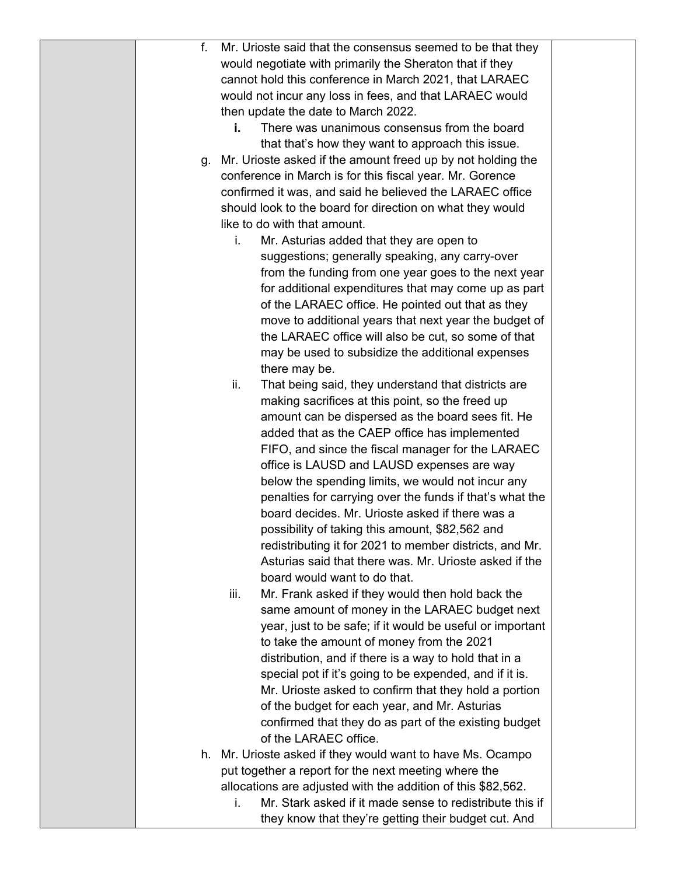| Mr. Urioste said that the consensus seemed to be that they<br>f.               |  |
|--------------------------------------------------------------------------------|--|
| would negotiate with primarily the Sheraton that if they                       |  |
| cannot hold this conference in March 2021, that LARAEC                         |  |
| would not incur any loss in fees, and that LARAEC would                        |  |
| then update the date to March 2022.                                            |  |
| There was unanimous consensus from the board<br>i.                             |  |
| that that's how they want to approach this issue.                              |  |
| Mr. Urioste asked if the amount freed up by not holding the<br>g.              |  |
| conference in March is for this fiscal year. Mr. Gorence                       |  |
| confirmed it was, and said he believed the LARAEC office                       |  |
| should look to the board for direction on what they would                      |  |
| like to do with that amount.                                                   |  |
| Mr. Asturias added that they are open to<br>i.                                 |  |
| suggestions; generally speaking, any carry-over                                |  |
| from the funding from one year goes to the next year                           |  |
| for additional expenditures that may come up as part                           |  |
| of the LARAEC office. He pointed out that as they                              |  |
| move to additional years that next year the budget of                          |  |
| the LARAEC office will also be cut, so some of that                            |  |
| may be used to subsidize the additional expenses                               |  |
| there may be.                                                                  |  |
| ii.<br>That being said, they understand that districts are                     |  |
| making sacrifices at this point, so the freed up                               |  |
| amount can be dispersed as the board sees fit. He                              |  |
| added that as the CAEP office has implemented                                  |  |
| FIFO, and since the fiscal manager for the LARAEC                              |  |
| office is LAUSD and LAUSD expenses are way                                     |  |
| below the spending limits, we would not incur any                              |  |
| penalties for carrying over the funds if that's what the                       |  |
| board decides. Mr. Urioste asked if there was a                                |  |
| possibility of taking this amount, \$82,562 and                                |  |
| redistributing it for 2021 to member districts, and Mr.                        |  |
| Asturias said that there was. Mr. Urioste asked if the                         |  |
| board would want to do that.                                                   |  |
| Mr. Frank asked if they would then hold back the<br>iii.                       |  |
| same amount of money in the LARAEC budget next                                 |  |
| year, just to be safe; if it would be useful or important                      |  |
| to take the amount of money from the 2021                                      |  |
| distribution, and if there is a way to hold that in a                          |  |
| special pot if it's going to be expended, and if it is.                        |  |
| Mr. Urioste asked to confirm that they hold a portion                          |  |
| of the budget for each year, and Mr. Asturias                                  |  |
| confirmed that they do as part of the existing budget<br>of the LARAEC office. |  |
| h. Mr. Urioste asked if they would want to have Ms. Ocampo                     |  |
| put together a report for the next meeting where the                           |  |
| allocations are adjusted with the addition of this \$82,562.                   |  |
| Mr. Stark asked if it made sense to redistribute this if<br>i.                 |  |
| they know that they're getting their budget cut. And                           |  |
|                                                                                |  |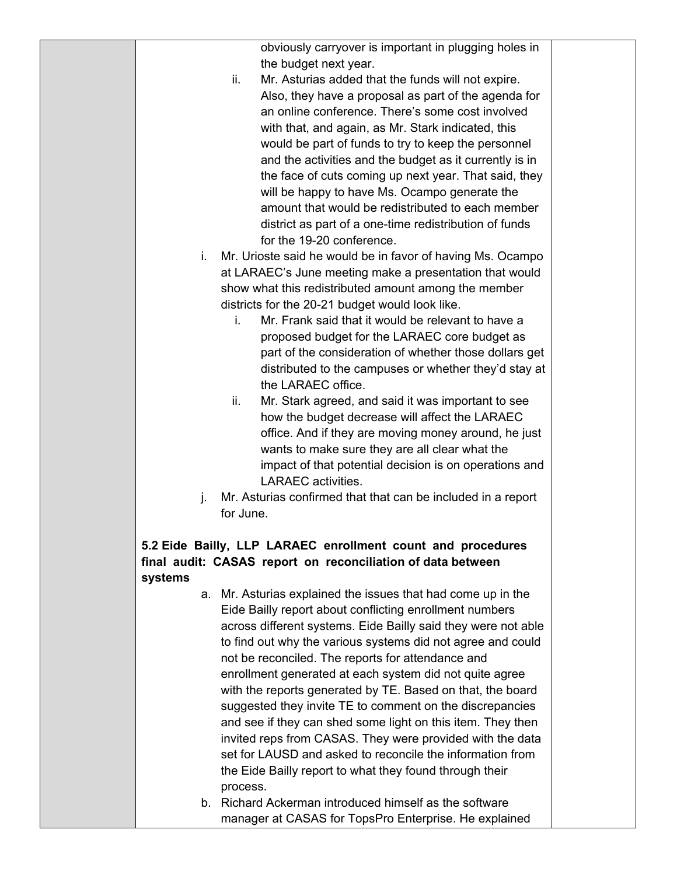|         | obviously carryover is important in plugging holes in                                                           |
|---------|-----------------------------------------------------------------------------------------------------------------|
|         | the budget next year.                                                                                           |
|         | Mr. Asturias added that the funds will not expire.<br>ii.                                                       |
|         | Also, they have a proposal as part of the agenda for                                                            |
|         | an online conference. There's some cost involved                                                                |
|         | with that, and again, as Mr. Stark indicated, this                                                              |
|         | would be part of funds to try to keep the personnel                                                             |
|         | and the activities and the budget as it currently is in                                                         |
|         | the face of cuts coming up next year. That said, they                                                           |
|         | will be happy to have Ms. Ocampo generate the                                                                   |
|         | amount that would be redistributed to each member                                                               |
|         | district as part of a one-time redistribution of funds                                                          |
|         | for the 19-20 conference.                                                                                       |
| i.      | Mr. Urioste said he would be in favor of having Ms. Ocampo                                                      |
|         | at LARAEC's June meeting make a presentation that would                                                         |
|         | show what this redistributed amount among the member                                                            |
|         | districts for the 20-21 budget would look like.                                                                 |
|         | Mr. Frank said that it would be relevant to have a<br>i.                                                        |
|         | proposed budget for the LARAEC core budget as                                                                   |
|         | part of the consideration of whether those dollars get                                                          |
|         | distributed to the campuses or whether they'd stay at                                                           |
|         | the LARAEC office.                                                                                              |
|         | ii.<br>Mr. Stark agreed, and said it was important to see                                                       |
|         | how the budget decrease will affect the LARAEC                                                                  |
|         | office. And if they are moving money around, he just                                                            |
|         | wants to make sure they are all clear what the                                                                  |
|         | impact of that potential decision is on operations and                                                          |
|         | <b>LARAEC</b> activities.                                                                                       |
| j.      | Mr. Asturias confirmed that that can be included in a report                                                    |
|         | for June.                                                                                                       |
|         |                                                                                                                 |
|         | 5.2 Eide Bailly, LLP LARAEC enrollment count and procedures                                                     |
|         | final audit: CASAS report on reconciliation of data between                                                     |
| systems |                                                                                                                 |
|         | a. Mr. Asturias explained the issues that had come up in the                                                    |
|         | Eide Bailly report about conflicting enrollment numbers                                                         |
|         | across different systems. Eide Bailly said they were not able                                                   |
|         | to find out why the various systems did not agree and could                                                     |
|         | not be reconciled. The reports for attendance and                                                               |
|         | enrollment generated at each system did not quite agree                                                         |
|         | with the reports generated by TE. Based on that, the board                                                      |
|         | suggested they invite TE to comment on the discrepancies                                                        |
|         | and see if they can shed some light on this item. They then                                                     |
|         | invited reps from CASAS. They were provided with the data                                                       |
|         |                                                                                                                 |
|         | set for LAUSD and asked to reconcile the information from                                                       |
|         | the Eide Bailly report to what they found through their                                                         |
|         | process.                                                                                                        |
|         | b. Richard Ackerman introduced himself as the software<br>manager at CASAS for TopsPro Enterprise. He explained |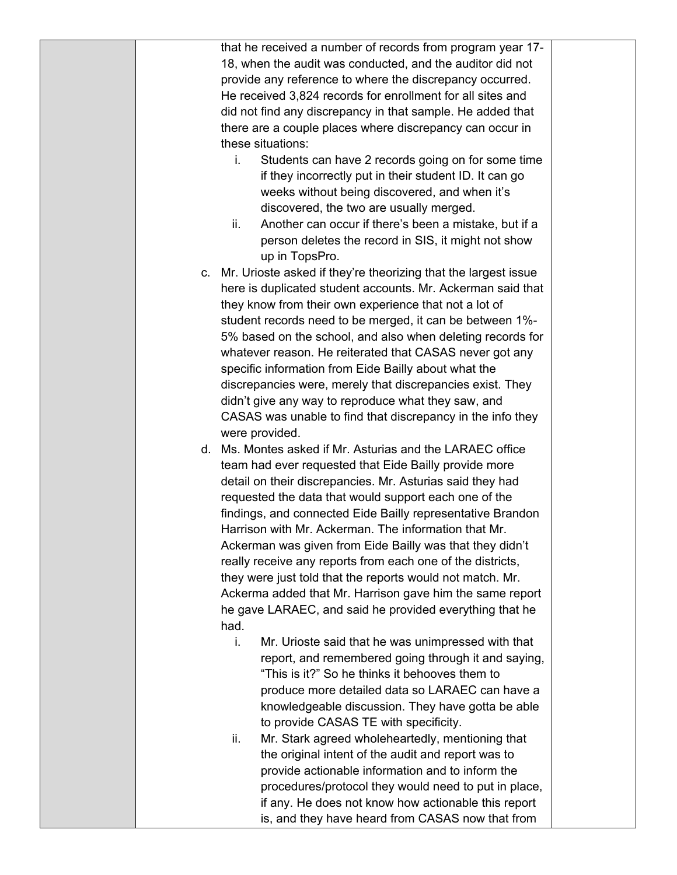|  | that he received a number of records from program year 17-                                                         |  |
|--|--------------------------------------------------------------------------------------------------------------------|--|
|  | 18, when the audit was conducted, and the auditor did not                                                          |  |
|  | provide any reference to where the discrepancy occurred.                                                           |  |
|  | He received 3,824 records for enrollment for all sites and                                                         |  |
|  | did not find any discrepancy in that sample. He added that                                                         |  |
|  | there are a couple places where discrepancy can occur in                                                           |  |
|  | these situations:                                                                                                  |  |
|  | Students can have 2 records going on for some time<br>i.                                                           |  |
|  | if they incorrectly put in their student ID. It can go                                                             |  |
|  | weeks without being discovered, and when it's                                                                      |  |
|  | discovered, the two are usually merged.                                                                            |  |
|  | Another can occur if there's been a mistake, but if a<br>ii.                                                       |  |
|  | person deletes the record in SIS, it might not show                                                                |  |
|  | up in TopsPro.                                                                                                     |  |
|  | c. Mr. Urioste asked if they're theorizing that the largest issue                                                  |  |
|  | here is duplicated student accounts. Mr. Ackerman said that                                                        |  |
|  | they know from their own experience that not a lot of                                                              |  |
|  | student records need to be merged, it can be between 1%-                                                           |  |
|  | 5% based on the school, and also when deleting records for                                                         |  |
|  | whatever reason. He reiterated that CASAS never got any                                                            |  |
|  | specific information from Eide Bailly about what the                                                               |  |
|  | discrepancies were, merely that discrepancies exist. They                                                          |  |
|  | didn't give any way to reproduce what they saw, and                                                                |  |
|  | CASAS was unable to find that discrepancy in the info they                                                         |  |
|  | were provided.                                                                                                     |  |
|  | d. Ms. Montes asked if Mr. Asturias and the LARAEC office                                                          |  |
|  | team had ever requested that Eide Bailly provide more                                                              |  |
|  | detail on their discrepancies. Mr. Asturias said they had<br>requested the data that would support each one of the |  |
|  | findings, and connected Eide Bailly representative Brandon                                                         |  |
|  | Harrison with Mr. Ackerman. The information that Mr.                                                               |  |
|  | Ackerman was given from Eide Bailly was that they didn't                                                           |  |
|  | really receive any reports from each one of the districts,                                                         |  |
|  | they were just told that the reports would not match. Mr.                                                          |  |
|  | Ackerma added that Mr. Harrison gave him the same report                                                           |  |
|  | he gave LARAEC, and said he provided everything that he                                                            |  |
|  | had.                                                                                                               |  |
|  | i.<br>Mr. Urioste said that he was unimpressed with that                                                           |  |
|  | report, and remembered going through it and saying,                                                                |  |
|  | "This is it?" So he thinks it behooves them to                                                                     |  |
|  | produce more detailed data so LARAEC can have a                                                                    |  |
|  | knowledgeable discussion. They have gotta be able                                                                  |  |
|  | to provide CASAS TE with specificity.                                                                              |  |
|  | Mr. Stark agreed wholeheartedly, mentioning that<br>ii.                                                            |  |
|  | the original intent of the audit and report was to                                                                 |  |
|  | provide actionable information and to inform the                                                                   |  |
|  | procedures/protocol they would need to put in place,                                                               |  |
|  | if any. He does not know how actionable this report                                                                |  |
|  | is, and they have heard from CASAS now that from                                                                   |  |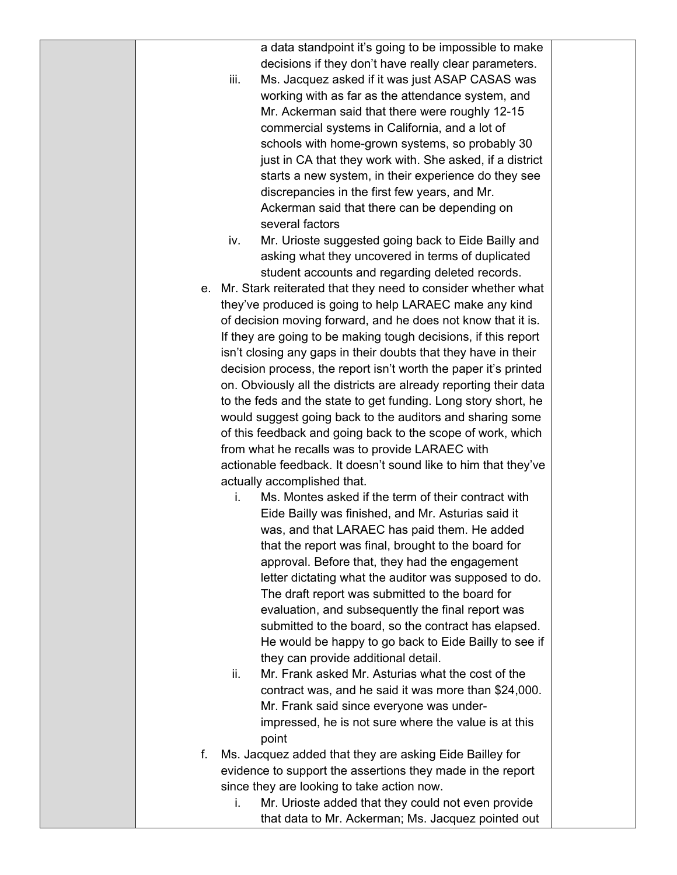a data standpoint it's going to be impossible to make decisions if they don't have really clear parameters.

- iii. Ms. Jacquez asked if it was just ASAP CASAS was working with as far as the attendance system, and Mr. Ackerman said that there were roughly 12-15 commercial systems in California, and a lot of schools with home-grown systems, so probably 30 just in CA that they work with. She asked, if a district starts a new system, in their experience do they see discrepancies in the first few years, and Mr. Ackerman said that there can be depending on several factors
- iv. Mr. Urioste suggested going back to Eide Bailly and asking what they uncovered in terms of duplicated student accounts and regarding deleted records.
- e. Mr. Stark reiterated that they need to consider whether what they've produced is going to help LARAEC make any kind of decision moving forward, and he does not know that it is. If they are going to be making tough decisions, if this report isn't closing any gaps in their doubts that they have in their decision process, the report isn't worth the paper it's printed on. Obviously all the districts are already reporting their data to the feds and the state to get funding. Long story short, he would suggest going back to the auditors and sharing some of this feedback and going back to the scope of work, which from what he recalls was to provide LARAEC with actionable feedback. It doesn't sound like to him that they've actually accomplished that.
	- i. Ms. Montes asked if the term of their contract with Eide Bailly was finished, and Mr. Asturias said it was, and that LARAEC has paid them. He added that the report was final, brought to the board for approval. Before that, they had the engagement letter dictating what the auditor was supposed to do. The draft report was submitted to the board for evaluation, and subsequently the final report was submitted to the board, so the contract has elapsed. He would be happy to go back to Eide Bailly to see if they can provide additional detail.
	- ii. Mr. Frank asked Mr. Asturias what the cost of the contract was, and he said it was more than \$24,000. Mr. Frank said since everyone was underimpressed, he is not sure where the value is at this point
- f. Ms. Jacquez added that they are asking Eide Bailley for evidence to support the assertions they made in the report since they are looking to take action now.
	- i. Mr. Urioste added that they could not even provide that data to Mr. Ackerman; Ms. Jacquez pointed out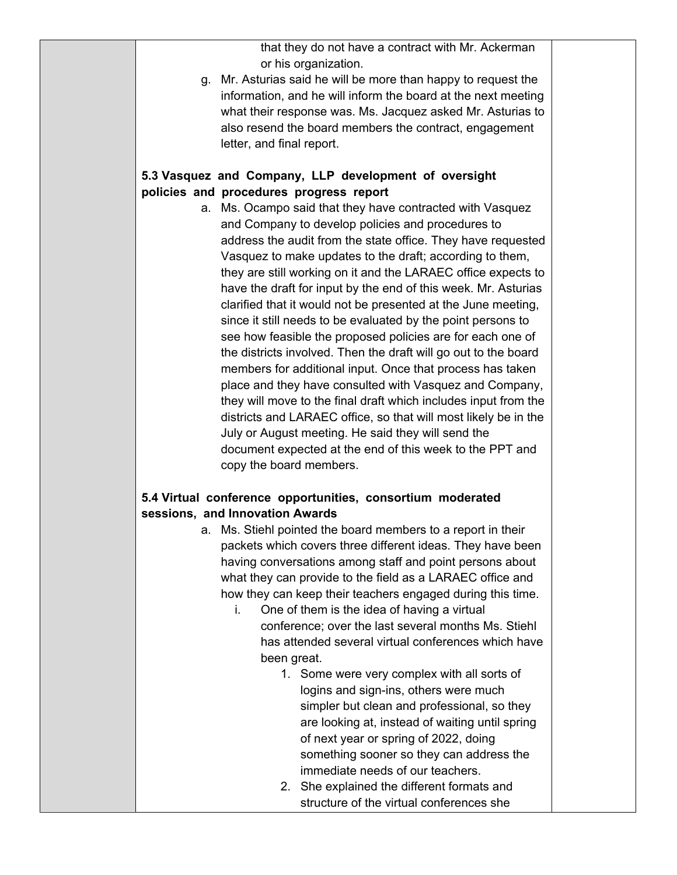that they do not have a contract with Mr. Ackerman or his organization.

g. Mr. Asturias said he will be more than happy to request the information, and he will inform the board at the next meeting what their response was. Ms. Jacquez asked Mr. Asturias to also resend the board members the contract, engagement letter, and final report.

#### **5.3 Vasquez and Company, LLP development of oversight policies and procedures progress report**

a. Ms. Ocampo said that they have contracted with Vasquez and Company to develop policies and procedures to address the audit from the state office. They have requested Vasquez to make updates to the draft; according to them, they are still working on it and the LARAEC office expects to have the draft for input by the end of this week. Mr. Asturias clarified that it would not be presented at the June meeting, since it still needs to be evaluated by the point persons to see how feasible the proposed policies are for each one of the districts involved. Then the draft will go out to the board members for additional input. Once that process has taken place and they have consulted with Vasquez and Company, they will move to the final draft which includes input from the districts and LARAEC office, so that will most likely be in the July or August meeting. He said they will send the document expected at the end of this week to the PPT and copy the board members.

#### **5.4 Virtual conference opportunities, consortium moderated sessions, and Innovation Awards**

- a. Ms. Stiehl pointed the board members to a report in their packets which covers three different ideas. They have been having conversations among staff and point persons about what they can provide to the field as a LARAEC office and how they can keep their teachers engaged during this time.
	- i. One of them is the idea of having a virtual conference; over the last several months Ms. Stiehl has attended several virtual conferences which have been great.
		- 1. Some were very complex with all sorts of logins and sign-ins, others were much simpler but clean and professional, so they are looking at, instead of waiting until spring of next year or spring of 2022, doing something sooner so they can address the immediate needs of our teachers.
		- 2. She explained the different formats and structure of the virtual conferences she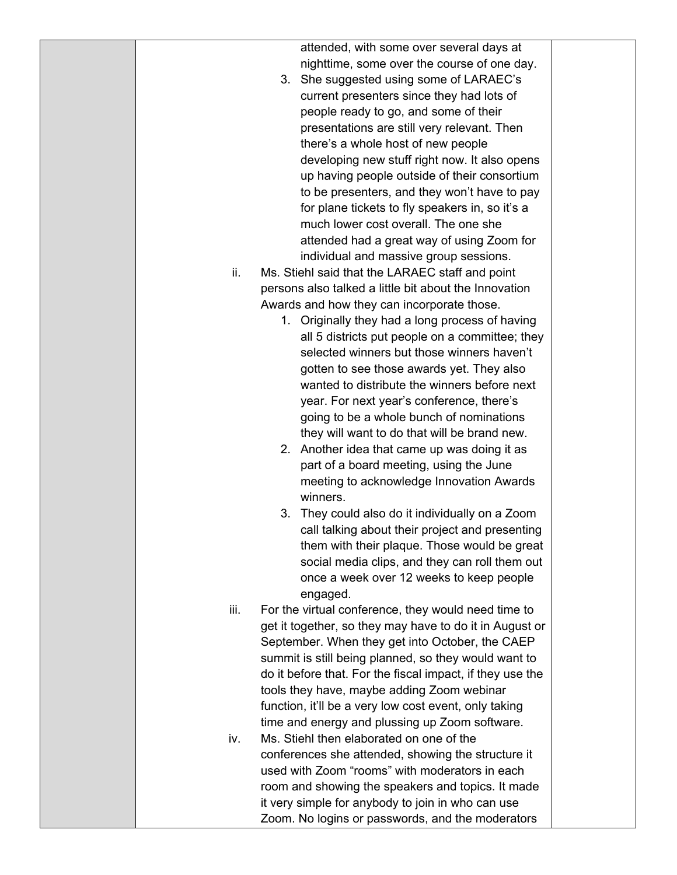|      | attended, with some over several days at                  |  |
|------|-----------------------------------------------------------|--|
|      | nighttime, some over the course of one day.               |  |
|      | 3. She suggested using some of LARAEC's                   |  |
|      | current presenters since they had lots of                 |  |
|      | people ready to go, and some of their                     |  |
|      | presentations are still very relevant. Then               |  |
|      | there's a whole host of new people                        |  |
|      | developing new stuff right now. It also opens             |  |
|      | up having people outside of their consortium              |  |
|      | to be presenters, and they won't have to pay              |  |
|      | for plane tickets to fly speakers in, so it's a           |  |
|      | much lower cost overall. The one she                      |  |
|      | attended had a great way of using Zoom for                |  |
|      | individual and massive group sessions.                    |  |
| ii.  | Ms. Stiehl said that the LARAEC staff and point           |  |
|      |                                                           |  |
|      | persons also talked a little bit about the Innovation     |  |
|      | Awards and how they can incorporate those.                |  |
|      | 1. Originally they had a long process of having           |  |
|      | all 5 districts put people on a committee; they           |  |
|      | selected winners but those winners haven't                |  |
|      | gotten to see those awards yet. They also                 |  |
|      | wanted to distribute the winners before next              |  |
|      | year. For next year's conference, there's                 |  |
|      | going to be a whole bunch of nominations                  |  |
|      | they will want to do that will be brand new.              |  |
|      | 2. Another idea that came up was doing it as              |  |
|      | part of a board meeting, using the June                   |  |
|      | meeting to acknowledge Innovation Awards                  |  |
|      | winners.                                                  |  |
|      | 3. They could also do it individually on a Zoom           |  |
|      | call talking about their project and presenting           |  |
|      | them with their plaque. Those would be great              |  |
|      | social media clips, and they can roll them out            |  |
|      | once a week over 12 weeks to keep people                  |  |
|      | engaged.                                                  |  |
| iii. | For the virtual conference, they would need time to       |  |
|      | get it together, so they may have to do it in August or   |  |
|      | September. When they get into October, the CAEP           |  |
|      | summit is still being planned, so they would want to      |  |
|      | do it before that. For the fiscal impact, if they use the |  |
|      | tools they have, maybe adding Zoom webinar                |  |
|      | function, it'll be a very low cost event, only taking     |  |
|      | time and energy and plussing up Zoom software.            |  |
| iv.  | Ms. Stiehl then elaborated on one of the                  |  |
|      | conferences she attended, showing the structure it        |  |
|      | used with Zoom "rooms" with moderators in each            |  |
|      | room and showing the speakers and topics. It made         |  |
|      | it very simple for anybody to join in who can use         |  |
|      | Zoom. No logins or passwords, and the moderators          |  |
|      |                                                           |  |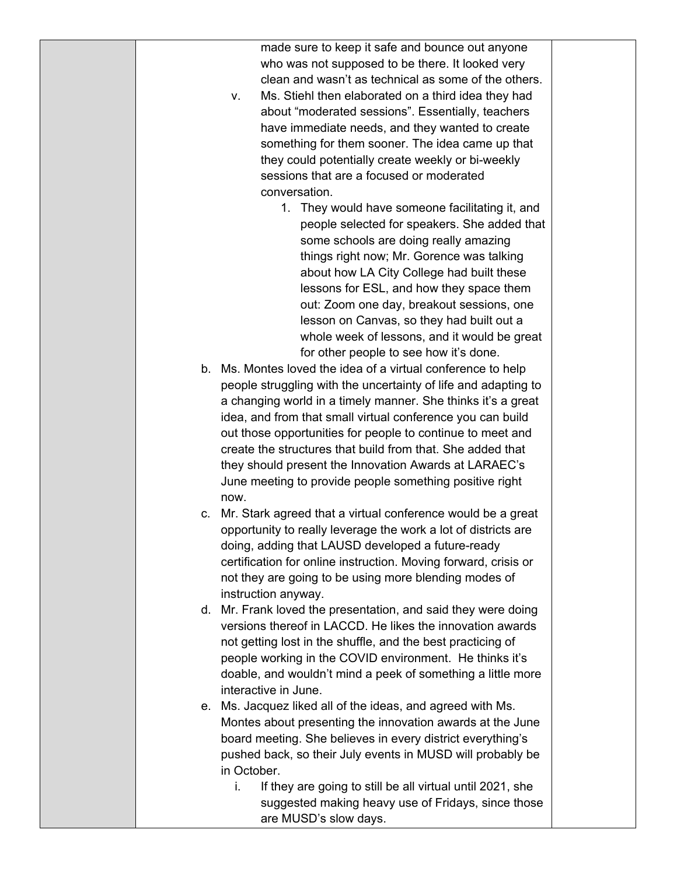|    | made sure to keep it safe and bounce out anyone                 |  |
|----|-----------------------------------------------------------------|--|
|    | who was not supposed to be there. It looked very                |  |
|    | clean and wasn't as technical as some of the others.            |  |
|    | Ms. Stiehl then elaborated on a third idea they had<br>ν.       |  |
|    | about "moderated sessions". Essentially, teachers               |  |
|    | have immediate needs, and they wanted to create                 |  |
|    | something for them sooner. The idea came up that                |  |
|    | they could potentially create weekly or bi-weekly               |  |
|    | sessions that are a focused or moderated                        |  |
|    | conversation.                                                   |  |
|    | 1. They would have someone facilitating it, and                 |  |
|    | people selected for speakers. She added that                    |  |
|    |                                                                 |  |
|    | some schools are doing really amazing                           |  |
|    | things right now; Mr. Gorence was talking                       |  |
|    | about how LA City College had built these                       |  |
|    | lessons for ESL, and how they space them                        |  |
|    | out: Zoom one day, breakout sessions, one                       |  |
|    | lesson on Canvas, so they had built out a                       |  |
|    | whole week of lessons, and it would be great                    |  |
|    | for other people to see how it's done.                          |  |
| b. | Ms. Montes loved the idea of a virtual conference to help       |  |
|    | people struggling with the uncertainty of life and adapting to  |  |
|    | a changing world in a timely manner. She thinks it's a great    |  |
|    | idea, and from that small virtual conference you can build      |  |
|    | out those opportunities for people to continue to meet and      |  |
|    | create the structures that build from that. She added that      |  |
|    | they should present the Innovation Awards at LARAEC's           |  |
|    | June meeting to provide people something positive right         |  |
|    | now.                                                            |  |
| c. | Mr. Stark agreed that a virtual conference would be a great     |  |
|    | opportunity to really leverage the work a lot of districts are  |  |
|    | doing, adding that LAUSD developed a future-ready               |  |
|    | certification for online instruction. Moving forward, crisis or |  |
|    | not they are going to be using more blending modes of           |  |
|    | instruction anyway.                                             |  |
| d. | Mr. Frank loved the presentation, and said they were doing      |  |
|    | versions thereof in LACCD. He likes the innovation awards       |  |
|    | not getting lost in the shuffle, and the best practicing of     |  |
|    | people working in the COVID environment. He thinks it's         |  |
|    | doable, and wouldn't mind a peek of something a little more     |  |
|    | interactive in June.                                            |  |
| е. | Ms. Jacquez liked all of the ideas, and agreed with Ms.         |  |
|    | Montes about presenting the innovation awards at the June       |  |
|    | board meeting. She believes in every district everything's      |  |
|    | pushed back, so their July events in MUSD will probably be      |  |
|    | in October.                                                     |  |
|    | If they are going to still be all virtual until 2021, she<br>i. |  |
|    | suggested making heavy use of Fridays, since those              |  |
|    | are MUSD's slow days.                                           |  |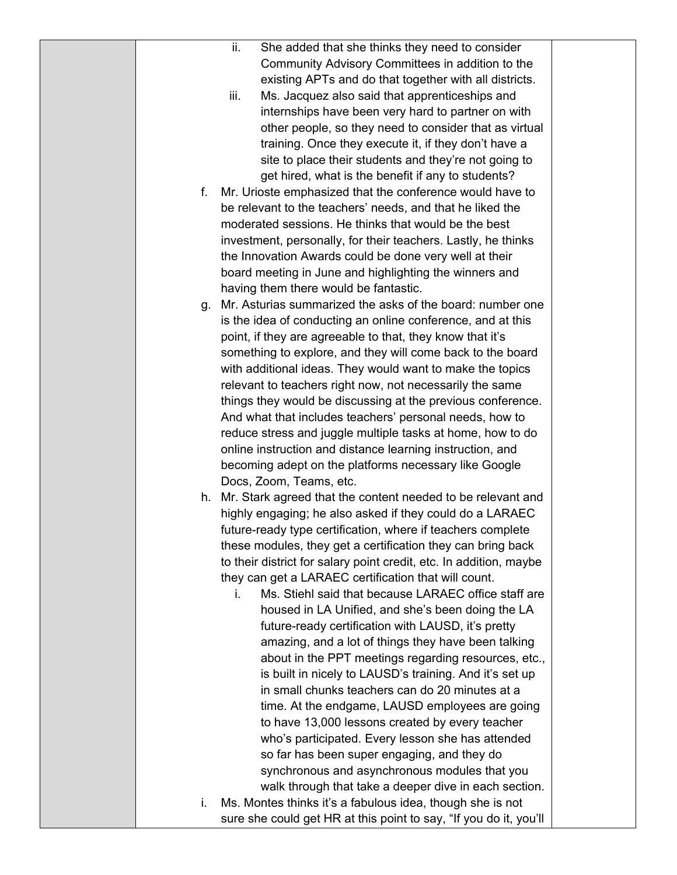| ii.<br>She added that she thinks they need to consider                           |  |
|----------------------------------------------------------------------------------|--|
| Community Advisory Committees in addition to the                                 |  |
| existing APTs and do that together with all districts.                           |  |
| iii.<br>Ms. Jacquez also said that apprenticeships and                           |  |
| internships have been very hard to partner on with                               |  |
| other people, so they need to consider that as virtual                           |  |
| training. Once they execute it, if they don't have a                             |  |
| site to place their students and they're not going to                            |  |
| get hired, what is the benefit if any to students?                               |  |
| f.<br>Mr. Urioste emphasized that the conference would have to                   |  |
| be relevant to the teachers' needs, and that he liked the                        |  |
| moderated sessions. He thinks that would be the best                             |  |
| investment, personally, for their teachers. Lastly, he thinks                    |  |
| the Innovation Awards could be done very well at their                           |  |
| board meeting in June and highlighting the winners and                           |  |
| having them there would be fantastic.                                            |  |
| Mr. Asturias summarized the asks of the board: number one<br>g.                  |  |
| is the idea of conducting an online conference, and at this                      |  |
| point, if they are agreeable to that, they know that it's                        |  |
| something to explore, and they will come back to the board                       |  |
| with additional ideas. They would want to make the topics                        |  |
| relevant to teachers right now, not necessarily the same                         |  |
| things they would be discussing at the previous conference.                      |  |
| And what that includes teachers' personal needs, how to                          |  |
| reduce stress and juggle multiple tasks at home, how to do                       |  |
| online instruction and distance learning instruction, and                        |  |
| becoming adept on the platforms necessary like Google<br>Docs, Zoom, Teams, etc. |  |
| Mr. Stark agreed that the content needed to be relevant and<br>h.                |  |
| highly engaging; he also asked if they could do a LARAEC                         |  |
| future-ready type certification, where if teachers complete                      |  |
| these modules, they get a certification they can bring back                      |  |
| to their district for salary point credit, etc. In addition, maybe               |  |
| they can get a LARAEC certification that will count.                             |  |
| Ms. Stiehl said that because LARAEC office staff are<br>i.                       |  |
| housed in LA Unified, and she's been doing the LA                                |  |
| future-ready certification with LAUSD, it's pretty                               |  |
| amazing, and a lot of things they have been talking                              |  |
| about in the PPT meetings regarding resources, etc.,                             |  |
| is built in nicely to LAUSD's training. And it's set up                          |  |
| in small chunks teachers can do 20 minutes at a                                  |  |
| time. At the endgame, LAUSD employees are going                                  |  |
| to have 13,000 lessons created by every teacher                                  |  |
| who's participated. Every lesson she has attended                                |  |
| so far has been super engaging, and they do                                      |  |
| synchronous and asynchronous modules that you                                    |  |
| walk through that take a deeper dive in each section.                            |  |
| Ms. Montes thinks it's a fabulous idea, though she is not<br>i.                  |  |
| sure she could get HR at this point to say, "If you do it, you'll                |  |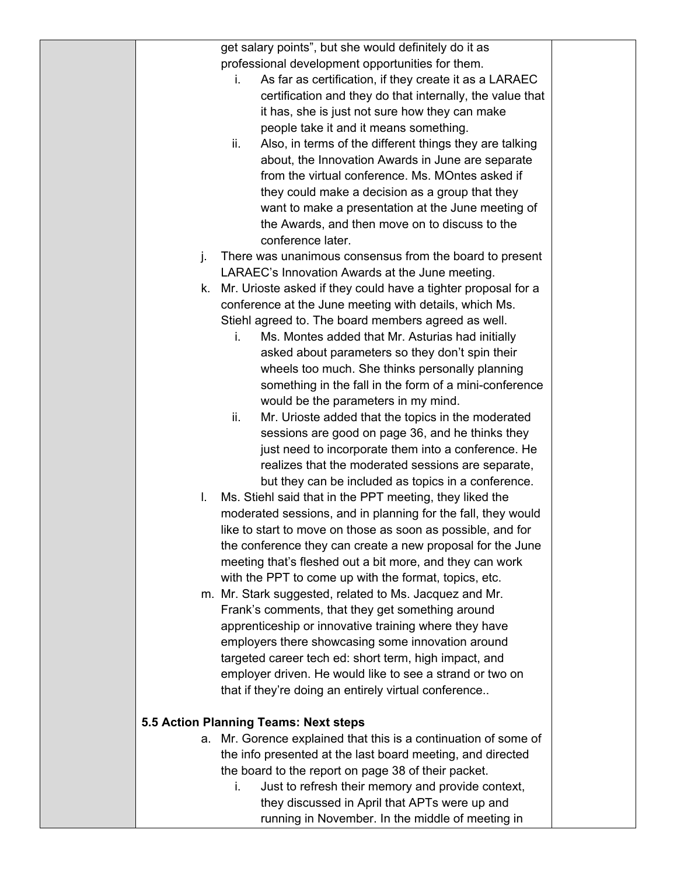get salary points", but she would definitely do it as professional development opportunities for them.

- i. As far as certification, if they create it as a LARAEC certification and they do that internally, the value that it has, she is just not sure how they can make people take it and it means something.
- ii. Also, in terms of the different things they are talking about, the Innovation Awards in June are separate from the virtual conference. Ms. MOntes asked if they could make a decision as a group that they want to make a presentation at the June meeting of the Awards, and then move on to discuss to the conference later.
- j. There was unanimous consensus from the board to present LARAEC's Innovation Awards at the June meeting.
- k. Mr. Urioste asked if they could have a tighter proposal for a conference at the June meeting with details, which Ms. Stiehl agreed to. The board members agreed as well.
	- i. Ms. Montes added that Mr. Asturias had initially asked about parameters so they don't spin their wheels too much. She thinks personally planning something in the fall in the form of a mini-conference would be the parameters in my mind.
	- ii. Mr. Urioste added that the topics in the moderated sessions are good on page 36, and he thinks they just need to incorporate them into a conference. He realizes that the moderated sessions are separate, but they can be included as topics in a conference.
- l. Ms. Stiehl said that in the PPT meeting, they liked the moderated sessions, and in planning for the fall, they would like to start to move on those as soon as possible, and for the conference they can create a new proposal for the June meeting that's fleshed out a bit more, and they can work with the PPT to come up with the format, topics, etc.
- m. Mr. Stark suggested, related to Ms. Jacquez and Mr. Frank's comments, that they get something around apprenticeship or innovative training where they have employers there showcasing some innovation around targeted career tech ed: short term, high impact, and employer driven. He would like to see a strand or two on that if they're doing an entirely virtual conference..

### **5.5 Action Planning Teams: Next steps**

- a. Mr. Gorence explained that this is a continuation of some of the info presented at the last board meeting, and directed the board to the report on page 38 of their packet.
	- i. Just to refresh their memory and provide context, they discussed in April that APTs were up and running in November. In the middle of meeting in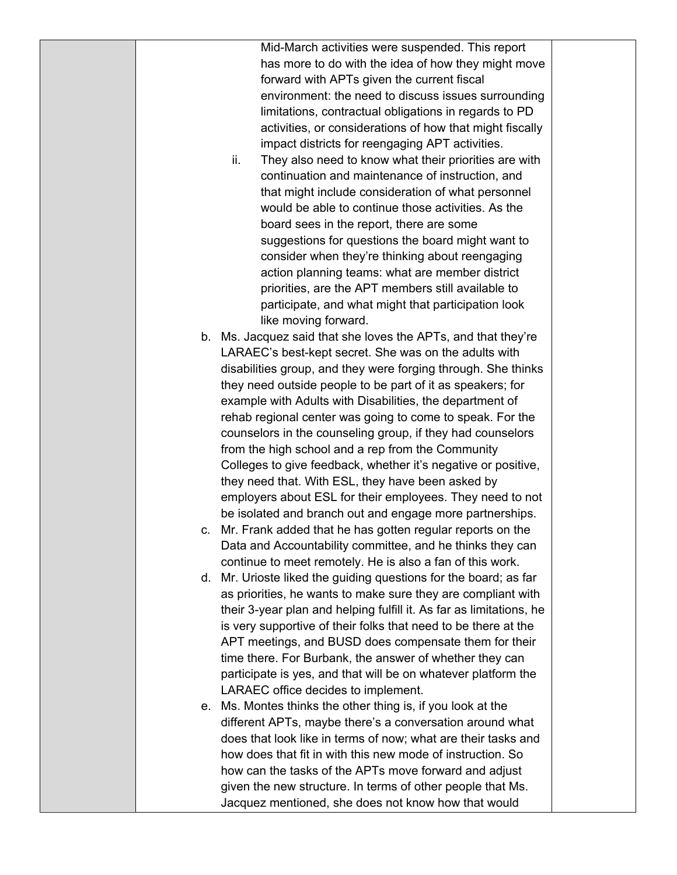Mid-March activities were suspended. This report has more to do with the idea of how they might move forward with APTs given the current fiscal environment: the need to discuss issues surrounding limitations, contractual obligations in regards to PD activities, or considerations of how that might fiscally impact districts for reengaging APT activities.

- ii. They also need to know what their priorities are with continuation and maintenance of instruction, and that might include consideration of what personnel would be able to continue those activities. As the board sees in the report, there are some suggestions for questions the board might want to consider when they're thinking about reengaging action planning teams: what are member district priorities, are the APT members still available to participate, and what might that participation look like moving forward.
- b. Ms. Jacquez said that she loves the APTs, and that they're LARAEC's best-kept secret. She was on the adults with disabilities group, and they were forging through. She thinks they need outside people to be part of it as speakers; for example with Adults with Disabilities, the department of rehab regional center was going to come to speak. For the counselors in the counseling group, if they had counselors from the high school and a rep from the Community Colleges to give feedback, whether it's negative or positive, they need that. With ESL, they have been asked by employers about ESL for their employees. They need to not be isolated and branch out and engage more partnerships.
- c. Mr. Frank added that he has gotten regular reports on the Data and Accountability committee, and he thinks they can continue to meet remotely. He is also a fan of this work.
- d. Mr. Urioste liked the guiding questions for the board; as far as priorities, he wants to make sure they are compliant with their 3-year plan and helping fulfill it. As far as limitations, he is very supportive of their folks that need to be there at the APT meetings, and BUSD does compensate them for their time there. For Burbank, the answer of whether they can participate is yes, and that will be on whatever platform the LARAEC office decides to implement.
- e. Ms. Montes thinks the other thing is, if you look at the different APTs, maybe there's a conversation around what does that look like in terms of now; what are their tasks and how does that fit in with this new mode of instruction. So how can the tasks of the APTs move forward and adjust given the new structure. In terms of other people that Ms. Jacquez mentioned, she does not know how that would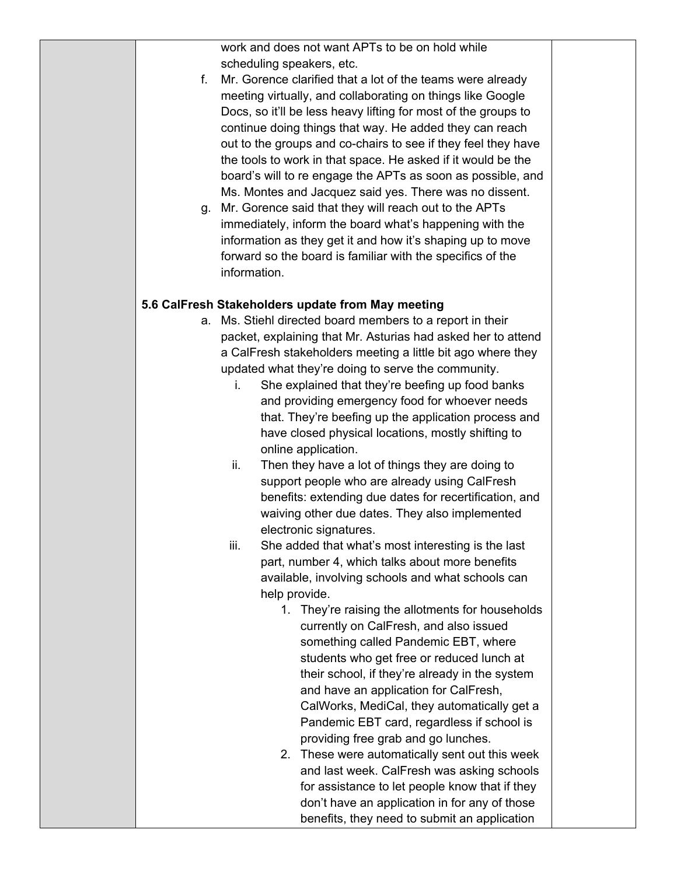work and does not want APTs to be on hold while scheduling speakers, etc.

- f. Mr. Gorence clarified that a lot of the teams were already meeting virtually, and collaborating on things like Google Docs, so it'll be less heavy lifting for most of the groups to continue doing things that way. He added they can reach out to the groups and co-chairs to see if they feel they have the tools to work in that space. He asked if it would be the board's will to re engage the APTs as soon as possible, and Ms. Montes and Jacquez said yes. There was no dissent.
- g. Mr. Gorence said that they will reach out to the APTs immediately, inform the board what's happening with the information as they get it and how it's shaping up to move forward so the board is familiar with the specifics of the information.

### **5.6 CalFresh Stakeholders update from May meeting**

- a. Ms. Stiehl directed board members to a report in their packet, explaining that Mr. Asturias had asked her to attend a CalFresh stakeholders meeting a little bit ago where they updated what they're doing to serve the community.
	- i. She explained that they're beefing up food banks and providing emergency food for whoever needs that. They're beefing up the application process and have closed physical locations, mostly shifting to online application.
	- ii. Then they have a lot of things they are doing to support people who are already using CalFresh benefits: extending due dates for recertification, and waiving other due dates. They also implemented electronic signatures.
	- iii. She added that what's most interesting is the last part, number 4, which talks about more benefits available, involving schools and what schools can help provide.
		- 1. They're raising the allotments for households currently on CalFresh, and also issued something called Pandemic EBT, where students who get free or reduced lunch at their school, if they're already in the system and have an application for CalFresh, CalWorks, MediCal, they automatically get a Pandemic EBT card, regardless if school is providing free grab and go lunches.
		- 2. These were automatically sent out this week and last week. CalFresh was asking schools for assistance to let people know that if they don't have an application in for any of those benefits, they need to submit an application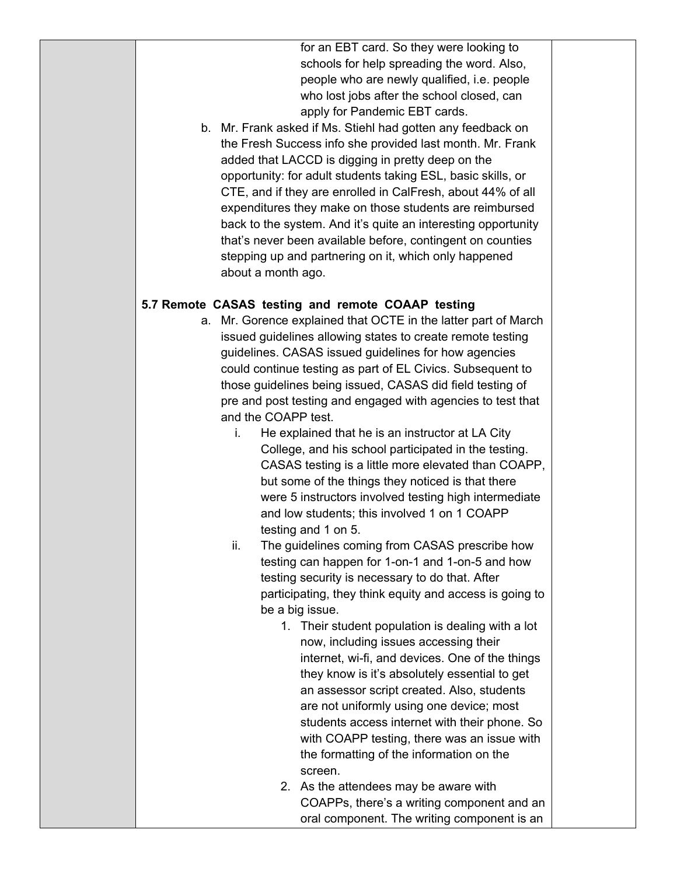for an EBT card. So they were looking to schools for help spreading the word. Also, people who are newly qualified, i.e. people who lost jobs after the school closed, can apply for Pandemic EBT cards.

b. Mr. Frank asked if Ms. Stiehl had gotten any feedback on the Fresh Success info she provided last month. Mr. Frank added that LACCD is digging in pretty deep on the opportunity: for adult students taking ESL, basic skills, or CTE, and if they are enrolled in CalFresh, about 44% of all expenditures they make on those students are reimbursed back to the system. And it's quite an interesting opportunity that's never been available before, contingent on counties stepping up and partnering on it, which only happened about a month ago.

#### **5.7 Remote CASAS testing and remote COAAP testing**

- a. Mr. Gorence explained that OCTE in the latter part of March issued guidelines allowing states to create remote testing guidelines. CASAS issued guidelines for how agencies could continue testing as part of EL Civics. Subsequent to those guidelines being issued, CASAS did field testing of pre and post testing and engaged with agencies to test that and the COAPP test.
	- i. He explained that he is an instructor at LA City College, and his school participated in the testing. CASAS testing is a little more elevated than COAPP, but some of the things they noticed is that there were 5 instructors involved testing high intermediate and low students; this involved 1 on 1 COAPP testing and 1 on 5.
	- ii. The guidelines coming from CASAS prescribe how testing can happen for 1-on-1 and 1-on-5 and how testing security is necessary to do that. After participating, they think equity and access is going to be a big issue.
		- 1. Their student population is dealing with a lot now, including issues accessing their internet, wi-fi, and devices. One of the things they know is it's absolutely essential to get an assessor script created. Also, students are not uniformly using one device; most students access internet with their phone. So with COAPP testing, there was an issue with the formatting of the information on the screen.
		- 2. As the attendees may be aware with COAPPs, there's a writing component and an oral component. The writing component is an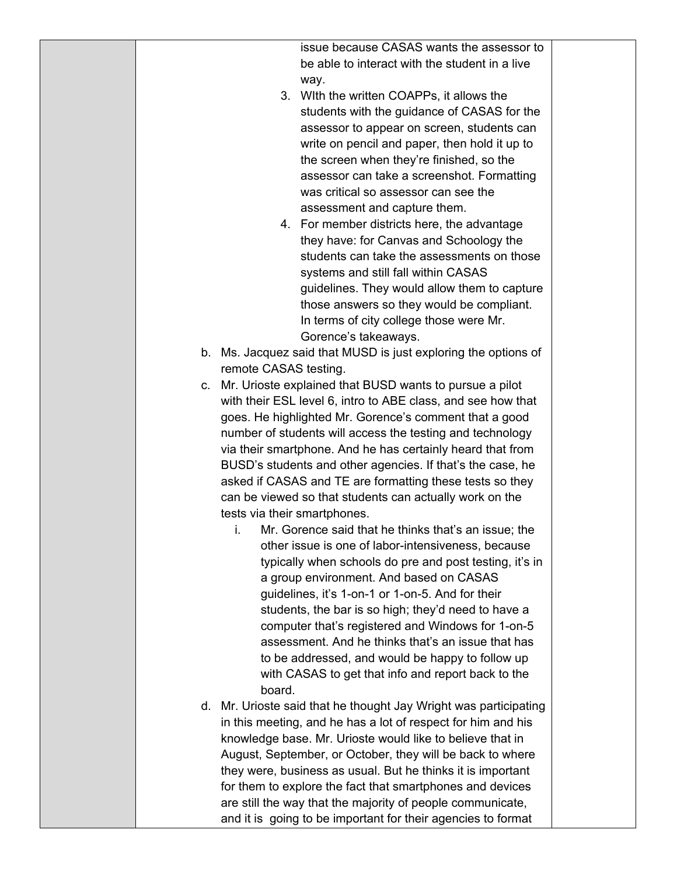| issue because CASAS wants the assessor to      |
|------------------------------------------------|
| be able to interact with the student in a live |
| way.                                           |

- 3. WIth the written COAPPs, it allows the students with the guidance of CASAS for the assessor to appear on screen, students can write on pencil and paper, then hold it up to the screen when they're finished, so the assessor can take a screenshot. Formatting was critical so assessor can see the assessment and capture them.
- 4. For member districts here, the advantage they have: for Canvas and Schoology the students can take the assessments on those systems and still fall within CASAS guidelines. They would allow them to capture those answers so they would be compliant. In terms of city college those were Mr. Gorence's takeaways.
- b. Ms. Jacquez said that MUSD is just exploring the options of remote CASAS testing.
- c. Mr. Urioste explained that BUSD wants to pursue a pilot with their ESL level 6, intro to ABE class, and see how that goes. He highlighted Mr. Gorence's comment that a good number of students will access the testing and technology via their smartphone. And he has certainly heard that from BUSD's students and other agencies. If that's the case, he asked if CASAS and TE are formatting these tests so they can be viewed so that students can actually work on the tests via their smartphones.
	- i. Mr. Gorence said that he thinks that's an issue; the other issue is one of labor-intensiveness, because typically when schools do pre and post testing, it's in a group environment. And based on CASAS guidelines, it's 1-on-1 or 1-on-5. And for their students, the bar is so high; they'd need to have a computer that's registered and Windows for 1-on-5 assessment. And he thinks that's an issue that has to be addressed, and would be happy to follow up with CASAS to get that info and report back to the board.
- d. Mr. Urioste said that he thought Jay Wright was participating in this meeting, and he has a lot of respect for him and his knowledge base. Mr. Urioste would like to believe that in August, September, or October, they will be back to where they were, business as usual. But he thinks it is important for them to explore the fact that smartphones and devices are still the way that the majority of people communicate, and it is going to be important for their agencies to format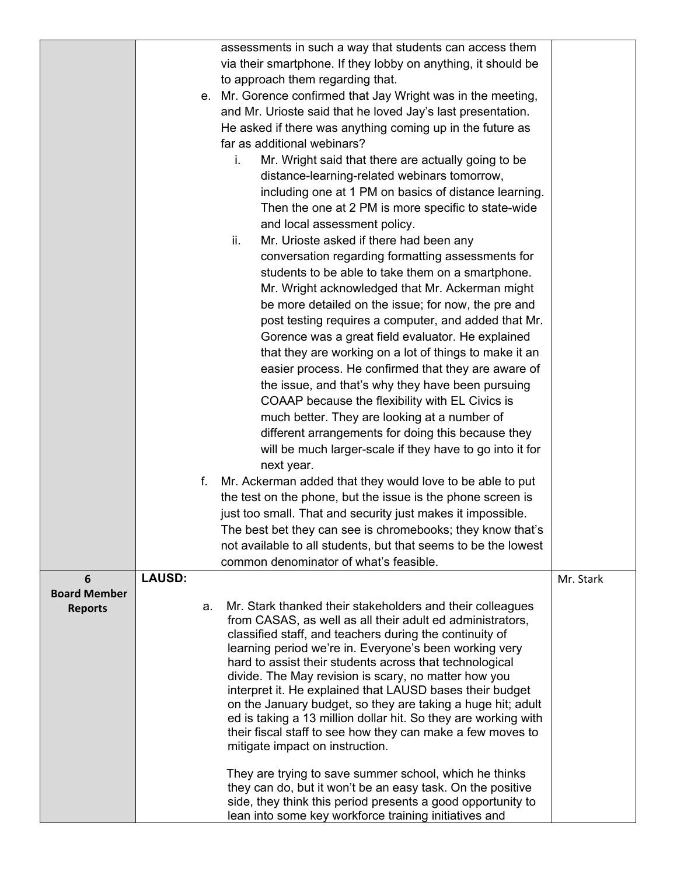|                     |               |    | assessments in such a way that students can access them                                                                 |           |
|---------------------|---------------|----|-------------------------------------------------------------------------------------------------------------------------|-----------|
|                     |               |    | via their smartphone. If they lobby on anything, it should be                                                           |           |
|                     |               |    |                                                                                                                         |           |
|                     |               |    | to approach them regarding that.                                                                                        |           |
|                     |               |    | e. Mr. Gorence confirmed that Jay Wright was in the meeting,                                                            |           |
|                     |               |    | and Mr. Urioste said that he loved Jay's last presentation.                                                             |           |
|                     |               |    | He asked if there was anything coming up in the future as                                                               |           |
|                     |               |    | far as additional webinars?                                                                                             |           |
|                     |               |    | Mr. Wright said that there are actually going to be<br>i.                                                               |           |
|                     |               |    | distance-learning-related webinars tomorrow,                                                                            |           |
|                     |               |    | including one at 1 PM on basics of distance learning.                                                                   |           |
|                     |               |    | Then the one at 2 PM is more specific to state-wide                                                                     |           |
|                     |               |    | and local assessment policy.                                                                                            |           |
|                     |               |    | Mr. Urioste asked if there had been any<br>ii.                                                                          |           |
|                     |               |    | conversation regarding formatting assessments for                                                                       |           |
|                     |               |    | students to be able to take them on a smartphone.                                                                       |           |
|                     |               |    | Mr. Wright acknowledged that Mr. Ackerman might                                                                         |           |
|                     |               |    | be more detailed on the issue; for now, the pre and                                                                     |           |
|                     |               |    | post testing requires a computer, and added that Mr.                                                                    |           |
|                     |               |    | Gorence was a great field evaluator. He explained                                                                       |           |
|                     |               |    | that they are working on a lot of things to make it an                                                                  |           |
|                     |               |    | easier process. He confirmed that they are aware of                                                                     |           |
|                     |               |    | the issue, and that's why they have been pursuing                                                                       |           |
|                     |               |    | COAAP because the flexibility with EL Civics is                                                                         |           |
|                     |               |    | much better. They are looking at a number of                                                                            |           |
|                     |               |    | different arrangements for doing this because they                                                                      |           |
|                     |               |    | will be much larger-scale if they have to go into it for                                                                |           |
|                     |               |    | next year.                                                                                                              |           |
|                     |               | f. | Mr. Ackerman added that they would love to be able to put                                                               |           |
|                     |               |    | the test on the phone, but the issue is the phone screen is                                                             |           |
|                     |               |    | just too small. That and security just makes it impossible.                                                             |           |
|                     |               |    | The best bet they can see is chromebooks; they know that's                                                              |           |
|                     |               |    | not available to all students, but that seems to be the lowest                                                          |           |
|                     |               |    | common denominator of what's feasible.                                                                                  |           |
| 6                   | <b>LAUSD:</b> |    |                                                                                                                         | Mr. Stark |
| <b>Board Member</b> |               | a. | Mr. Stark thanked their stakeholders and their colleagues                                                               |           |
| <b>Reports</b>      |               |    | from CASAS, as well as all their adult ed administrators,                                                               |           |
|                     |               |    | classified staff, and teachers during the continuity of                                                                 |           |
|                     |               |    | learning period we're in. Everyone's been working very                                                                  |           |
|                     |               |    | hard to assist their students across that technological                                                                 |           |
|                     |               |    | divide. The May revision is scary, no matter how you                                                                    |           |
|                     |               |    | interpret it. He explained that LAUSD bases their budget<br>on the January budget, so they are taking a huge hit; adult |           |
|                     |               |    | ed is taking a 13 million dollar hit. So they are working with                                                          |           |
|                     |               |    | their fiscal staff to see how they can make a few moves to                                                              |           |
|                     |               |    | mitigate impact on instruction.                                                                                         |           |
|                     |               |    | They are trying to save summer school, which he thinks                                                                  |           |
|                     |               |    | they can do, but it won't be an easy task. On the positive                                                              |           |
|                     |               |    | side, they think this period presents a good opportunity to<br>lean into some key workforce training initiatives and    |           |
|                     |               |    |                                                                                                                         |           |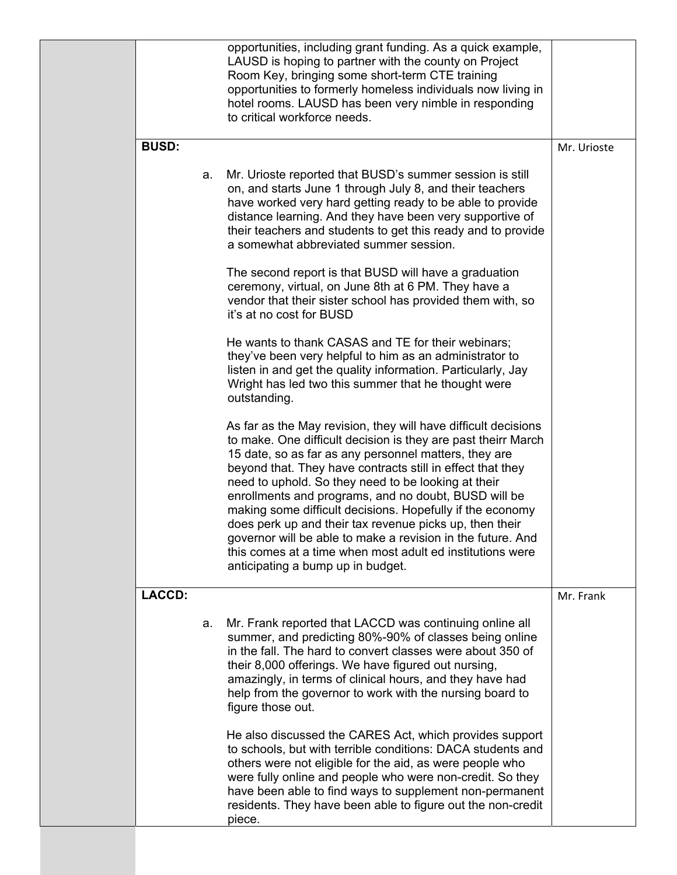| <b>BUSD:</b> | Mr. Urioste |                                                                                                                                                                                                                                                                                                                                                                                                                                                                                                                                                                                                                                                                |           |
|--------------|-------------|----------------------------------------------------------------------------------------------------------------------------------------------------------------------------------------------------------------------------------------------------------------------------------------------------------------------------------------------------------------------------------------------------------------------------------------------------------------------------------------------------------------------------------------------------------------------------------------------------------------------------------------------------------------|-----------|
|              | a.          | Mr. Urioste reported that BUSD's summer session is still<br>on, and starts June 1 through July 8, and their teachers<br>have worked very hard getting ready to be able to provide<br>distance learning. And they have been very supportive of<br>their teachers and students to get this ready and to provide<br>a somewhat abbreviated summer session.                                                                                                                                                                                                                                                                                                        |           |
|              |             | The second report is that BUSD will have a graduation<br>ceremony, virtual, on June 8th at 6 PM. They have a<br>vendor that their sister school has provided them with, so<br>it's at no cost for BUSD                                                                                                                                                                                                                                                                                                                                                                                                                                                         |           |
|              |             | He wants to thank CASAS and TE for their webinars;<br>they've been very helpful to him as an administrator to<br>listen in and get the quality information. Particularly, Jay<br>Wright has led two this summer that he thought were<br>outstanding.                                                                                                                                                                                                                                                                                                                                                                                                           |           |
|              |             | As far as the May revision, they will have difficult decisions<br>to make. One difficult decision is they are past theirr March<br>15 date, so as far as any personnel matters, they are<br>beyond that. They have contracts still in effect that they<br>need to uphold. So they need to be looking at their<br>enrollments and programs, and no doubt, BUSD will be<br>making some difficult decisions. Hopefully if the economy<br>does perk up and their tax revenue picks up, then their<br>governor will be able to make a revision in the future. And<br>this comes at a time when most adult ed institutions were<br>anticipating a bump up in budget. |           |
| LACCD:       |             |                                                                                                                                                                                                                                                                                                                                                                                                                                                                                                                                                                                                                                                                | Mr. Frank |
|              | a.          | Mr. Frank reported that LACCD was continuing online all<br>summer, and predicting 80%-90% of classes being online<br>in the fall. The hard to convert classes were about 350 of<br>their 8,000 offerings. We have figured out nursing,<br>amazingly, in terms of clinical hours, and they have had<br>help from the governor to work with the nursing board to<br>figure those out.                                                                                                                                                                                                                                                                            |           |
|              |             | He also discussed the CARES Act, which provides support<br>to schools, but with terrible conditions: DACA students and<br>others were not eligible for the aid, as were people who<br>were fully online and people who were non-credit. So they<br>have been able to find ways to supplement non-permanent<br>residents. They have been able to figure out the non-credit<br>piece.                                                                                                                                                                                                                                                                            |           |